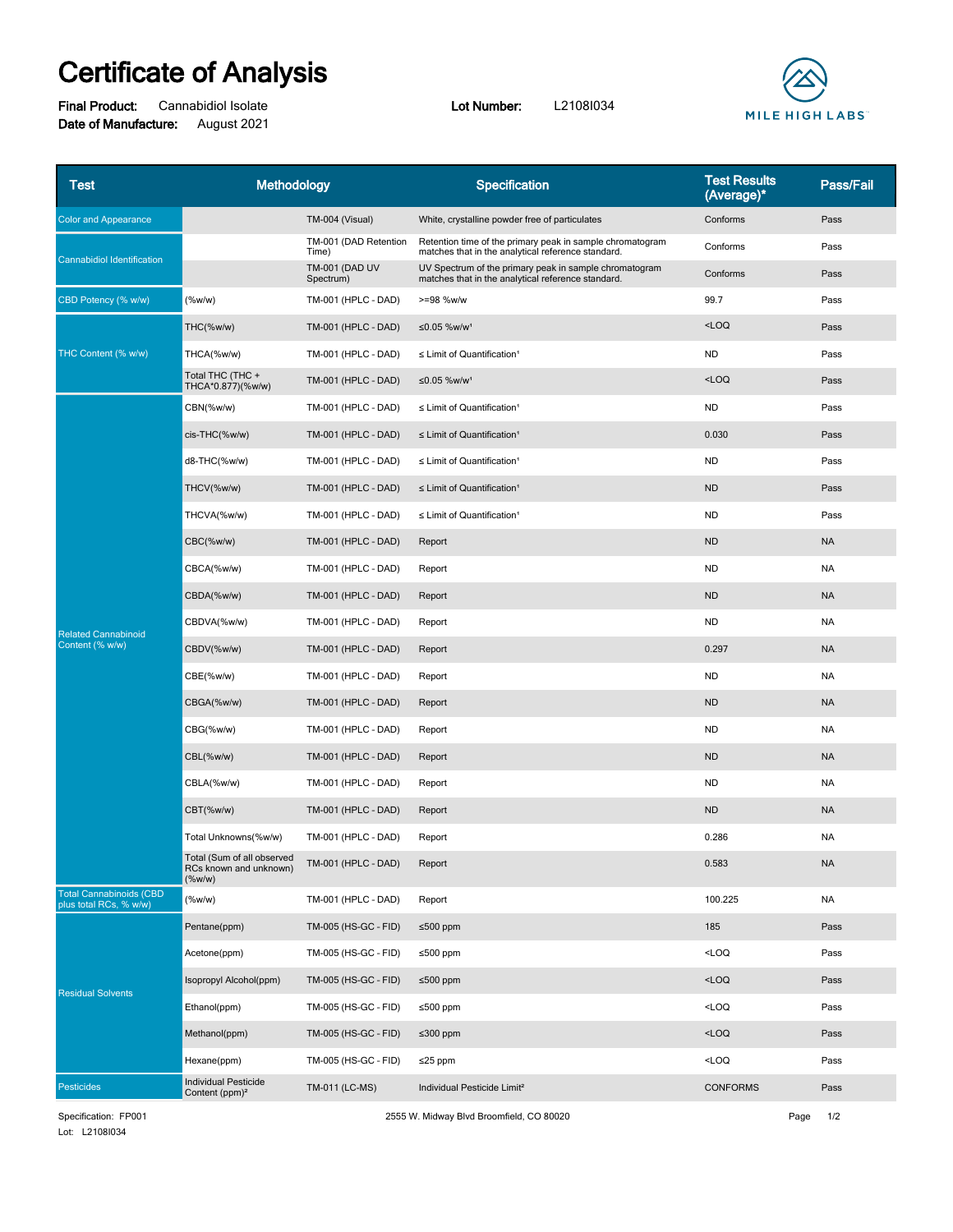## **Certificate of Analysis**

**Final Product:** Cannabidiol Isolate **Lot Number:** L2108I034 **Date of Manufacture:** August 2021



| Test                                                     | Methodology                                                |                                    | Specification                                                                                                   | <b>Test Results</b><br>(Average)* | Pass/Fail |
|----------------------------------------------------------|------------------------------------------------------------|------------------------------------|-----------------------------------------------------------------------------------------------------------------|-----------------------------------|-----------|
| <b>Color and Appearance</b>                              |                                                            | TM-004 (Visual)                    | White, crystalline powder free of particulates                                                                  | Conforms                          | Pass      |
| <b>Cannabidiol Identification</b>                        |                                                            | TM-001 (DAD Retention<br>Time)     | Retention time of the primary peak in sample chromatogram<br>matches that in the analytical reference standard. | Conforms                          | Pass      |
|                                                          |                                                            | <b>TM-001 (DAD UV</b><br>Spectrum) | UV Spectrum of the primary peak in sample chromatogram<br>matches that in the analytical reference standard.    | Conforms                          | Pass      |
| CBD Potency (% w/w)                                      | (%w/w)                                                     | TM-001 (HPLC - DAD)                | >=98 %w/w                                                                                                       | 99.7                              | Pass      |
| THC Content (% w/w)                                      | THC(%w/w)                                                  | TM-001 (HPLC - DAD)                | ≤0.05 %w/w <sup>1</sup>                                                                                         | $<$ LOQ                           | Pass      |
|                                                          | THCA(%w/w)                                                 | TM-001 (HPLC - DAD)                | $\leq$ Limit of Quantification <sup>1</sup>                                                                     | <b>ND</b>                         | Pass      |
|                                                          | Total THC (THC +<br>THCA*0.877)(%w/w)                      | TM-001 (HPLC - DAD)                | ≤0.05 %w/w <sup>1</sup>                                                                                         | $<$ LOQ                           | Pass      |
| <b>Related Cannabinoid</b><br>Content (% w/w)            | CBN(%w/w)                                                  | TM-001 (HPLC - DAD)                | $\leq$ Limit of Quantification <sup>1</sup>                                                                     | <b>ND</b>                         | Pass      |
|                                                          | cis-THC(%w/w)                                              | TM-001 (HPLC - DAD)                | $\leq$ Limit of Quantification <sup>1</sup>                                                                     | 0.030                             | Pass      |
|                                                          | d8-THC(%w/w)                                               | TM-001 (HPLC - DAD)                | $\leq$ Limit of Quantification <sup>1</sup>                                                                     | <b>ND</b>                         | Pass      |
|                                                          | THCV(%w/w)                                                 | TM-001 (HPLC - DAD)                | $\leq$ Limit of Quantification <sup>1</sup>                                                                     | <b>ND</b>                         | Pass      |
|                                                          | THCVA(%w/w)                                                | TM-001 (HPLC - DAD)                | $\leq$ Limit of Quantification <sup>1</sup>                                                                     | <b>ND</b>                         | Pass      |
|                                                          | CBC(%w/w)                                                  | <b>TM-001 (HPLC - DAD)</b>         | Report                                                                                                          | <b>ND</b>                         | <b>NA</b> |
|                                                          | CBCA(%w/w)                                                 | TM-001 (HPLC - DAD)                | Report                                                                                                          | <b>ND</b>                         | <b>NA</b> |
|                                                          | CBDA(%w/w)                                                 | TM-001 (HPLC - DAD)                | Report                                                                                                          | <b>ND</b>                         | <b>NA</b> |
|                                                          | CBDVA(%w/w)                                                | TM-001 (HPLC - DAD)                | Report                                                                                                          | <b>ND</b>                         | ΝA        |
|                                                          | CBDV(%w/w)                                                 | <b>TM-001 (HPLC - DAD)</b>         | Report                                                                                                          | 0.297                             | <b>NA</b> |
|                                                          | CBE(%w/w)                                                  | TM-001 (HPLC - DAD)                | Report                                                                                                          | <b>ND</b>                         | ΝA        |
|                                                          | CBGA(%w/w)                                                 | TM-001 (HPLC - DAD)                | Report                                                                                                          | <b>ND</b>                         | <b>NA</b> |
|                                                          | CBG(%w/w)                                                  | TM-001 (HPLC - DAD)                | Report                                                                                                          | <b>ND</b>                         | <b>NA</b> |
|                                                          | CBL(%w/w)                                                  | <b>TM-001 (HPLC - DAD)</b>         | Report                                                                                                          | <b>ND</b>                         | <b>NA</b> |
|                                                          | CBLA(%w/w)                                                 | TM-001 (HPLC - DAD)                | Report                                                                                                          | <b>ND</b>                         | <b>NA</b> |
|                                                          | CBT(%w/w)                                                  | <b>TM-001 (HPLC - DAD)</b>         | Report                                                                                                          | <b>ND</b>                         | <b>NA</b> |
|                                                          | Total Unknowns(%w/w)                                       | TM-001 (HPLC - DAD)                | Report                                                                                                          | 0.286                             | ΝA        |
|                                                          | Total (Sum of all observed<br>RCs known and unknown)<br>(% | TM-001 (HPLC - DAD)                | Report                                                                                                          | 0.583                             | NA        |
| <b>Total Cannabinoids (CBD</b><br>plus total RCs, % w/w) | (%w/w)                                                     | TM-001 (HPLC - DAD)                | Report                                                                                                          | 100.225                           | <b>NA</b> |
| <b>Residual Solvents</b>                                 | Pentane(ppm)                                               | TM-005 (HS-GC - FID)               | ≤500 ppm                                                                                                        | 185                               | Pass      |
|                                                          | Acetone(ppm)                                               | TM-005 (HS-GC - FID)               | ≤500 ppm                                                                                                        | $<$ LOQ                           | Pass      |
|                                                          | Isopropyl Alcohol(ppm)                                     | TM-005 (HS-GC - FID)               | ≤500 ppm                                                                                                        | $<$ LOQ                           | Pass      |
|                                                          | Ethanol(ppm)                                               | TM-005 (HS-GC - FID)               | ≤500 ppm                                                                                                        | $<$ LOQ                           | Pass      |
|                                                          | Methanol(ppm)                                              | TM-005 (HS-GC - FID)               | ≤300 ppm                                                                                                        | $<$ LOQ                           | Pass      |
|                                                          | Hexane(ppm)                                                | TM-005 (HS-GC - FID)               | $≤25$ ppm                                                                                                       | $<$ LOQ                           | Pass      |
| Pesticides                                               | <b>Individual Pesticide</b><br>Content (ppm) <sup>2</sup>  | TM-011 (LC-MS)                     | Individual Pesticide Limit <sup>2</sup>                                                                         | <b>CONFORMS</b>                   | Pass      |

Lot: L2108I034 Specification: FP001 2555 W. Midway Blvd Broomfield, CO 80020 Page 1/2